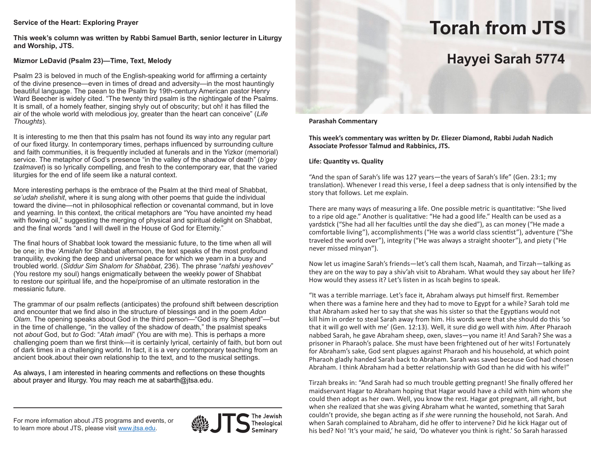### **Service of the Heart: Exploring Prayer**

**This week's column was written by Rabbi Samuel Barth, senior lecturer in Liturgy and Worship, JTS.**

## **Mizmor LeDavid (Psalm 23)—Time, Text, Melody**

Psalm 23 is beloved in much of the English-speaking world for affirming a certainty of the divine presence—even in times of dread and adversity—in the most hauntingly beautiful language. The paean to the Psalm by 19th-century American pastor Henry Ward Beecher is widely cited. "The twenty third psalm is the nightingale of the Psalms. It is small, of a homely feather, singing shyly out of obscurity; but oh! it has filled the air of the whole world with melodious joy, greater than the heart can conceive" (*Life Thoughts*).

It is interesting to me then that this psalm has not found its way into any regular part of our fixed liturgy. In contemporary times, perhaps influenced by surrounding culture and faith communities, it is frequently included at funerals and in the Yizkor (memorial) service. The metaphor of God's presence "in the valley of the shadow of death" (*b'gey tzalmavet*) is so lyrically compelling, and fresh to the contemporary ear, that the varied liturgies for the end of life seem like a natural context.

More interesting perhaps is the embrace of the Psalm at the third meal of Shabbat, *se'udah shelishit*, where it is sung along with other poems that guide the individual toward the divine—not in philosophical reflection or covenantal command, but in love and yearning. In this context, the critical metaphors are "You have anointed my head with flowing oil," suggesting the merging of physical and spiritual delight on Shabbat, and the final words "and I will dwell in the House of God for Eternity."

The final hours of Shabbat look toward the messianic future, to the time when all will be one; in the *'Amidah* for Shabbat afternoon, the text speaks of the most profound tranquility, evoking the deep and universal peace for which we yearn in a busy and troubled world. (*Siddur Sim Shalom for Shabbat*, 236). The phrase "*nafshi yeshovev*" (You restore my soul) hangs enigmatically between the weekly power of Shabbat to restore our spiritual life, and the hope/promise of an ultimate restoration in the messianic future.

The grammar of our psalm reflects (anticipates) the profound shift between description and encounter that we find also in the structure of blessings and in the poem *Adon Olam*. The opening speaks about God in the third person—"God is my Shepherd"—but in the time of challenge, "in the valley of the shadow of death," the psalmist speaks not *about* God, but *to* God: "*Atah imadi*" (You are with me). This is perhaps a more challenging poem than we first think—it is certainly lyrical, certainly of faith, but born out of dark times in a challenging world. In fact, it is a very contemporary teaching from an ancient book.about their own relationship to the text, and to the musical settings.

As always, I am interested in hearing comments and reflections on these thoughts about prayer and liturgy. You may reach me at sabarth@jtsa.edu.

#### For more information about JTS programs and events, or to learn more about JTS, please visit www.jtsa.edu.



The Jewish Theological

# **Torah from JTS**

# **Hayyei Sarah 5774**

**Parashah Commentary**

**This week's commentary was written by Dr. Eliezer Diamond, Rabbi Judah Nadich Associate Professor Talmud and Rabbinics, JTS.**

### **Life: Quantity vs. Quality**

"And the span of Sarah's life was 127 years—the years of Sarah's life" (Gen. 23:1; my translation). Whenever I read this verse, I feel a deep sadness that is only intensified by the story that follows. Let me explain.

There are many ways of measuring a life. One possible metric is quantitative: "She lived to a ripe old age." Another is qualitative: "He had a good life." Health can be used as a yardstick ("She had all her faculties until the day she died"), as can money ("He made a comfortable living"), accomplishments ("He was a world class scientist"), adventure ("She traveled the world over"), integrity ("He was always a straight shooter"), and piety ("He never missed minyan").

Now let us imagine Sarah's friends—let's call them Iscah, Naamah, and Tirzah—talking as they are on the way to pay a shiv'ah visit to Abraham. What would they say about her life? How would they assess it? Let's listen in as Iscah begins to speak.

"It was a terrible marriage. Let's face it, Abraham always put himself first. Remember when there was a famine here and they had to move to Egypt for a while? Sarah told me that Abraham asked her to say that she was his sister so that the Egyptians would not kill him in order to steal Sarah away from him. His words were that she should do this 'so that it will go well with me' (Gen. 12:13). Well, it sure did go well with *him.* After Pharaoh nabbed Sarah, he gave Abraham sheep, oxen, slaves—you name it! And Sarah? She was a prisoner in Pharaoh's palace. She must have been frightened out of her wits! Fortunately for Abraham's sake, God sent plagues against Pharaoh and his household, at which point Pharaoh gladly handed Sarah back to Abraham. Sarah was saved because God had chosen Abraham. I think Abraham had a better relationship with God than he did with his wife!"

Tirzah breaks in: "And Sarah had so much trouble getting pregnant! She finally offered her maidservant Hagar to Abraham hoping that Hagar would have a child with him whom she could then adopt as her own. Well, you know the rest. Hagar got pregnant, all right, but when she realized that she was giving Abraham what he wanted, something that Sarah couldn't provide, she began acting as if *she* were running the household, not Sarah. And when Sarah complained to Abraham, did he offer to intervene? Did he kick Hagar out of his bed? No! 'It's your maid,' he said, 'Do whatever you think is right.' So Sarah harassed